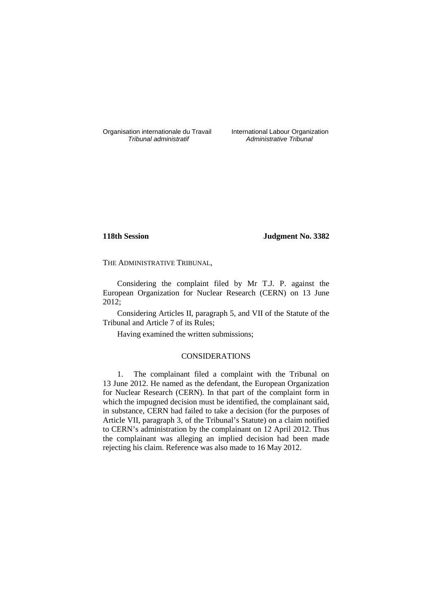Organisation internationale du Travail International Labour Organization<br> *Tribunal administratif Administrative Tribunal* 

Administrative Tribunal

### **118th Session Judgment No. 3382**

THE ADMINISTRATIVE TRIBUNAL,

Considering the complaint filed by Mr T.J. P. against the European Organization for Nuclear Research (CERN) on 13 June 2012;

Considering Articles II, paragraph 5, and VII of the Statute of the Tribunal and Article 7 of its Rules;

Having examined the written submissions;

## CONSIDERATIONS

1. The complainant filed a complaint with the Tribunal on 13 June 2012. He named as the defendant, the European Organization for Nuclear Research (CERN). In that part of the complaint form in which the impugned decision must be identified, the complainant said, in substance, CERN had failed to take a decision (for the purposes of Article VII, paragraph 3, of the Tribunal's Statute) on a claim notified to CERN's administration by the complainant on 12 April 2012. Thus the complainant was alleging an implied decision had been made rejecting his claim. Reference was also made to 16 May 2012.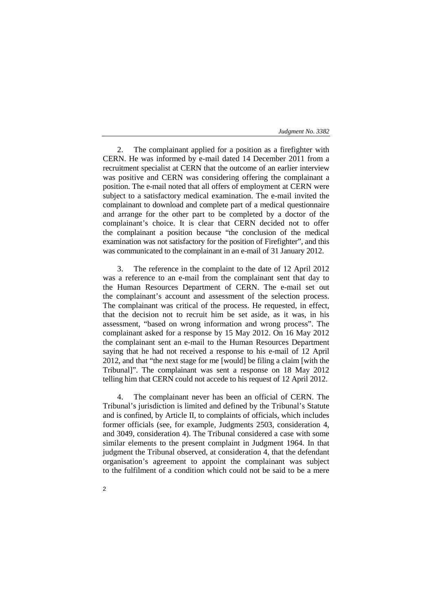#### *Judgment No. 3382*

2. The complainant applied for a position as a firefighter with CERN. He was informed by e-mail dated 14 December 2011 from a recruitment specialist at CERN that the outcome of an earlier interview was positive and CERN was considering offering the complainant a position. The e-mail noted that all offers of employment at CERN were subject to a satisfactory medical examination. The e-mail invited the complainant to download and complete part of a medical questionnaire and arrange for the other part to be completed by a doctor of the complainant's choice. It is clear that CERN decided not to offer the complainant a position because "the conclusion of the medical examination was not satisfactory for the position of Firefighter", and this was communicated to the complainant in an e-mail of 31 January 2012.

3. The reference in the complaint to the date of 12 April 2012 was a reference to an e-mail from the complainant sent that day to the Human Resources Department of CERN. The e-mail set out the complainant's account and assessment of the selection process. The complainant was critical of the process. He requested, in effect, that the decision not to recruit him be set aside, as it was, in his assessment, "based on wrong information and wrong process". The complainant asked for a response by 15 May 2012. On 16 May 2012 the complainant sent an e-mail to the Human Resources Department saying that he had not received a response to his e-mail of 12 April 2012, and that "the next stage for me [would] be filing a claim [with the Tribunal]". The complainant was sent a response on 18 May 2012 telling him that CERN could not accede to his request of 12 April 2012.

4. The complainant never has been an official of CERN. The Tribunal's jurisdiction is limited and defined by the Tribunal's Statute and is confined, by Article II, to complaints of officials, which includes former officials (see, for example, Judgments 2503, consideration 4, and 3049, consideration 4). The Tribunal considered a case with some similar elements to the present complaint in Judgment 1964. In that judgment the Tribunal observed, at consideration 4, that the defendant organisation's agreement to appoint the complainant was subject to the fulfilment of a condition which could not be said to be a mere

2